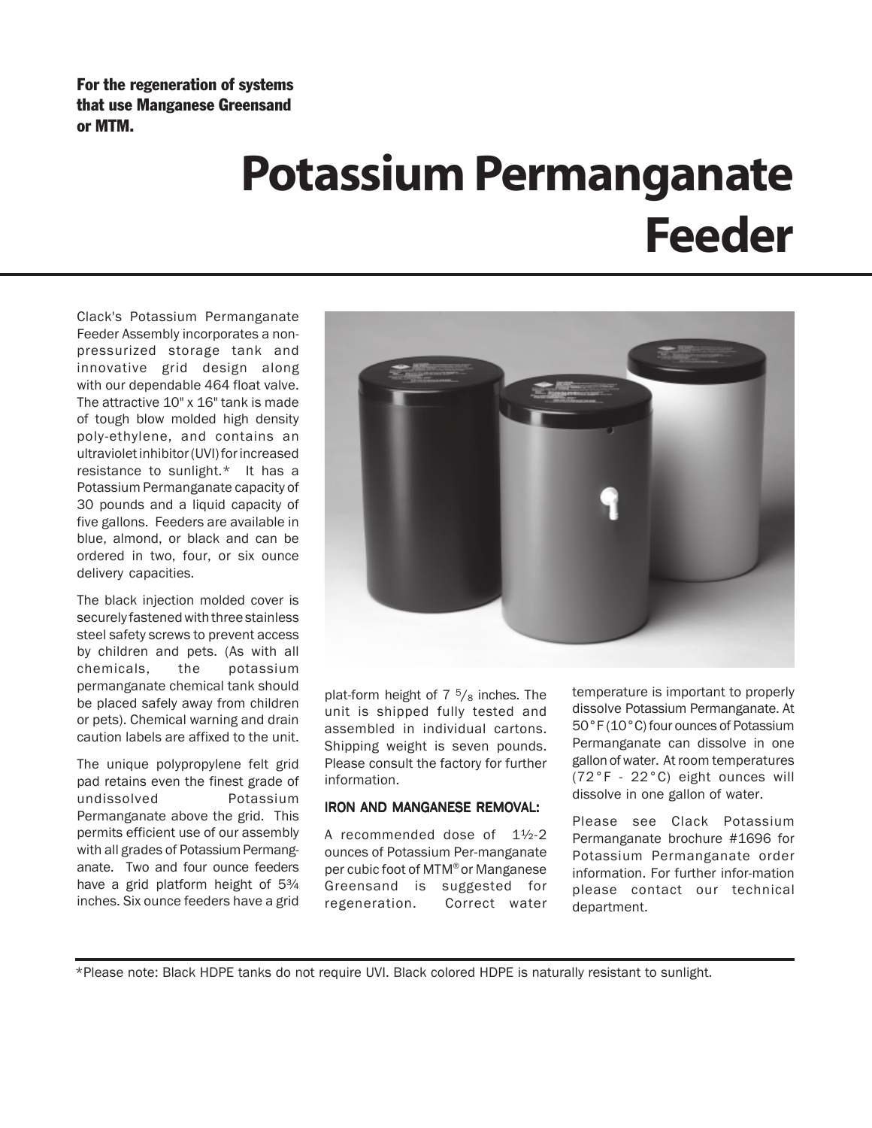For the regeneration of systems that use Manganese Greensand or MTM.

## **Potassium Permanganate Feeder**

Clack's Potassium Permanganate Feeder Assembly incorporates a nonpressurized storage tank and innovative grid design along with our dependable 464 float valve. The attractive 10" x 16" tank is made of tough blow molded high density poly-ethylene, and contains an ultraviolet inhibitor (UVI) for increased resistance to sunlight.\* It has a Potassium Permanganate capacity of 30 pounds and a liquid capacity of five gallons. Feeders are available in blue, almond, or black and can be ordered in two, four, or six ounce delivery capacities.

The black injection molded cover is securely fastened with three stainless steel safety screws to prevent access by children and pets. (As with all chemicals, the potassium permanganate chemical tank should be placed safely away from children or pets). Chemical warning and drain caution labels are affixed to the unit.

The unique polypropylene felt grid pad retains even the finest grade of undissolved Potassium Permanganate above the grid. This permits efficient use of our assembly with all grades of Potassium Permanganate. Two and four ounce feeders have a grid platform height of  $5\frac{3}{4}$ inches. Six ounce feeders have a grid



plat-form height of  $7\frac{5}{8}$  inches. The unit is shipped fully tested and assembled in individual cartons. Shipping weight is seven pounds. Please consult the factory for further information.

## IRON AND MANGANESE REMOVAL:

A recommended dose of 1½-2 ounces of Potassium Per-manganate per cubic foot of MTM® or Manganese Greensand is suggested for regeneration. Correct water temperature is important to properly dissolve Potassium Permanganate. At 50°F (10°C) four ounces of Potassium Permanganate can dissolve in one gallon of water. At room temperatures (72°F - 22°C) eight ounces will dissolve in one gallon of water.

Please see Clack Potassium Permanganate brochure #1696 for Potassium Permanganate order information. For further infor-mation please contact our technical department.

\*Please note: Black HDPE tanks do not require UVI. Black colored HDPE is naturally resistant to sunlight.